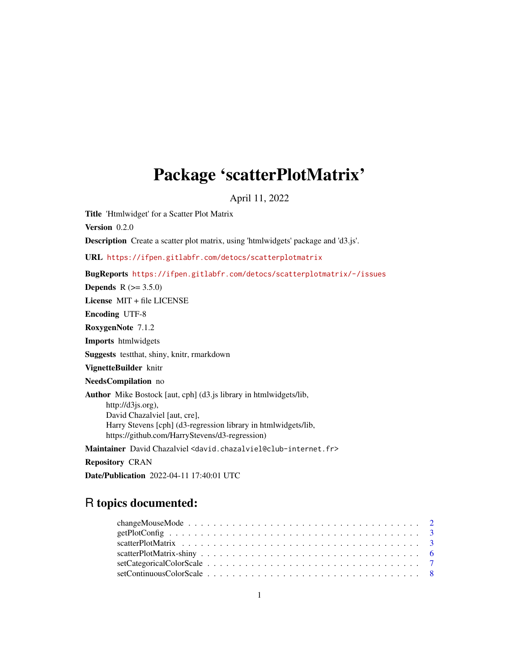# Package 'scatterPlotMatrix'

April 11, 2022

Title 'Htmlwidget' for a Scatter Plot Matrix

Version 0.2.0

Description Create a scatter plot matrix, using 'htmlwidgets' package and 'd3.js'.

URL <https://ifpen.gitlabfr.com/detocs/scatterplotmatrix>

BugReports <https://ifpen.gitlabfr.com/detocs/scatterplotmatrix/-/issues>

**Depends**  $R (= 3.5.0)$ 

License MIT + file LICENSE

Encoding UTF-8

RoxygenNote 7.1.2

Imports htmlwidgets

Suggests testthat, shiny, knitr, rmarkdown

VignetteBuilder knitr

NeedsCompilation no

Author Mike Bostock [aut, cph] (d3.js library in htmlwidgets/lib, http://d3js.org), David Chazalviel [aut, cre], Harry Stevens [cph] (d3-regression library in htmlwidgets/lib, https://github.com/HarryStevens/d3-regression)

Maintainer David Chazalviel <david.chazalviel@club-internet.fr>

Repository CRAN

Date/Publication 2022-04-11 17:40:01 UTC

# R topics documented: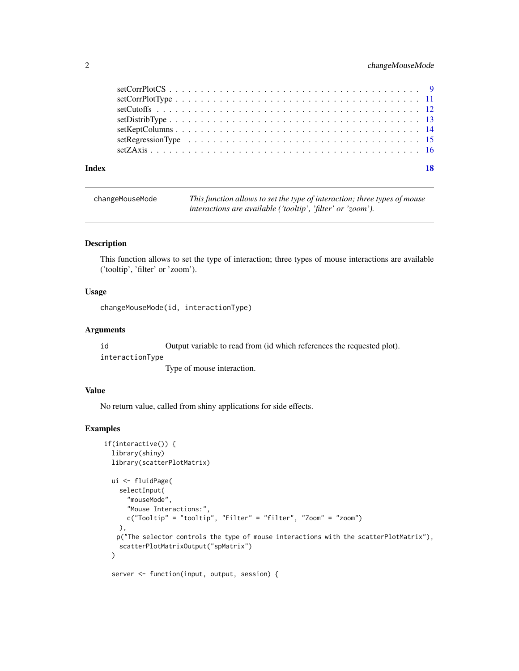# <span id="page-1-0"></span>2 changeMouseMode

| Index | 18 |
|-------|----|
|       |    |
|       |    |
|       |    |
|       |    |
|       |    |
|       |    |
|       |    |

changeMouseMode *This function allows to set the type of interaction; three types of mouse interactions are available ('tooltip', 'filter' or 'zoom').*

#### Description

This function allows to set the type of interaction; three types of mouse interactions are available ('tooltip', 'filter' or 'zoom').

#### Usage

changeMouseMode(id, interactionType)

#### Arguments

id Output variable to read from (id which references the requested plot).

interactionType

Type of mouse interaction.

#### Value

No return value, called from shiny applications for side effects.

# Examples

```
if(interactive()) {
 library(shiny)
  library(scatterPlotMatrix)
  ui <- fluidPage(
    selectInput(
      "mouseMode",
      "Mouse Interactions:",
      c("Tooltip" = "tooltip", "Filter" = "filter", "Zoom" = "zoom")
   ),
   p("The selector controls the type of mouse interactions with the scatterPlotMatrix"),
    scatterPlotMatrixOutput("spMatrix")
  )
```
server <- function(input, output, session) {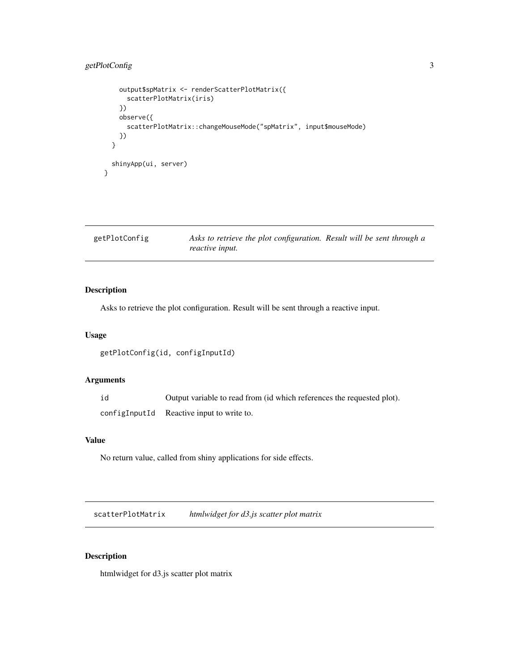# <span id="page-2-0"></span>getPlotConfig 3

```
output$spMatrix <- renderScatterPlotMatrix({
      scatterPlotMatrix(iris)
    })
    observe({
      scatterPlotMatrix::changeMouseMode("spMatrix", input$mouseMode)
    })
  }
  shinyApp(ui, server)
}
```

| getPlotConfig | Asks to retrieve the plot configuration. Result will be sent through a |  |
|---------------|------------------------------------------------------------------------|--|
|               | <i>reactive input.</i>                                                 |  |

# Description

Asks to retrieve the plot configuration. Result will be sent through a reactive input.

#### Usage

```
getPlotConfig(id, configInputId)
```
# Arguments

id Output variable to read from (id which references the requested plot). configInputId Reactive input to write to.

# Value

No return value, called from shiny applications for side effects.

scatterPlotMatrix *htmlwidget for d3.js scatter plot matrix*

# Description

htmlwidget for d3.js scatter plot matrix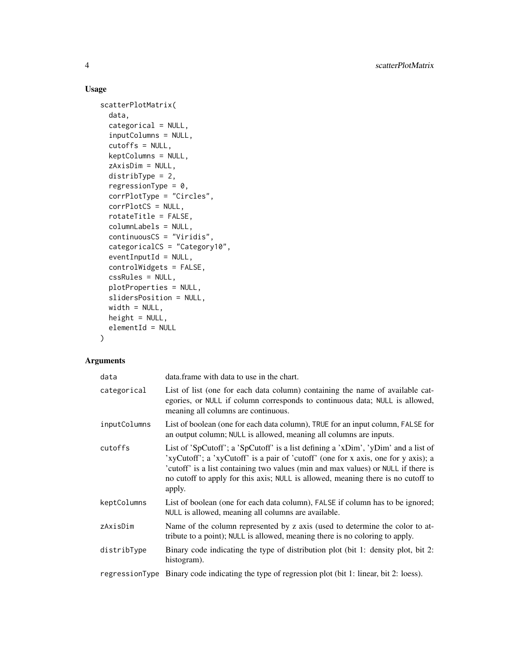# Usage

```
scatterPlotMatrix(
 data,
  categorical = NULL,
  inputColumns = NULL,
  cutoffs = NULL,
  keptColumns = NULL,
  zAxisDim = NULL,
  distribType = 2,
  regressionType = 0,
  corrPlotType = "Circles",
  corrPlotCS = NULL,
  rotateTitle = FALSE,
  columnLabels = NULL,
  continuousCS = "Viridis",
  categoricalCS = "Category10",
  eventInputId = NULL,
  controlWidgets = FALSE,
  cssRules = NULL,
 plotProperties = NULL,
  slidersPosition = NULL,
 width = NULL,
 height = NULL,elementId = NULL\lambda
```
#### Arguments

| data         | data.frame with data to use in the chart.                                                                                                                                                                                                                                                                                                                   |
|--------------|-------------------------------------------------------------------------------------------------------------------------------------------------------------------------------------------------------------------------------------------------------------------------------------------------------------------------------------------------------------|
| categorical  | List of list (one for each data column) containing the name of available cat-<br>egories, or NULL if column corresponds to continuous data; NULL is allowed,<br>meaning all columns are continuous.                                                                                                                                                         |
| inputColumns | List of boolean (one for each data column), TRUE for an input column, FALSE for<br>an output column; NULL is allowed, meaning all columns are inputs.                                                                                                                                                                                                       |
| cutoffs      | List of 'SpCutoff'; a 'SpCutoff' is a list defining a 'xDim', 'yDim' and a list of<br>'xyCutoff'; a 'xyCutoff' is a pair of 'cutoff' (one for x axis, one for y axis); a<br>'cutoff' is a list containing two values (min and max values) or NULL if there is<br>no cutoff to apply for this axis; NULL is allowed, meaning there is no cutoff to<br>apply. |
| keptColumns  | List of boolean (one for each data column), FALSE if column has to be ignored;<br>NULL is allowed, meaning all columns are available.                                                                                                                                                                                                                       |
| zAxisDim     | Name of the column represented by z axis (used to determine the color to at-<br>tribute to a point); NULL is allowed, meaning there is no coloring to apply.                                                                                                                                                                                                |
| distribType  | Binary code indicating the type of distribution plot (bit 1: density plot, bit 2:<br>histogram).                                                                                                                                                                                                                                                            |
|              | regressionType Binary code indicating the type of regression plot (bit 1: linear, bit 2: loess).                                                                                                                                                                                                                                                            |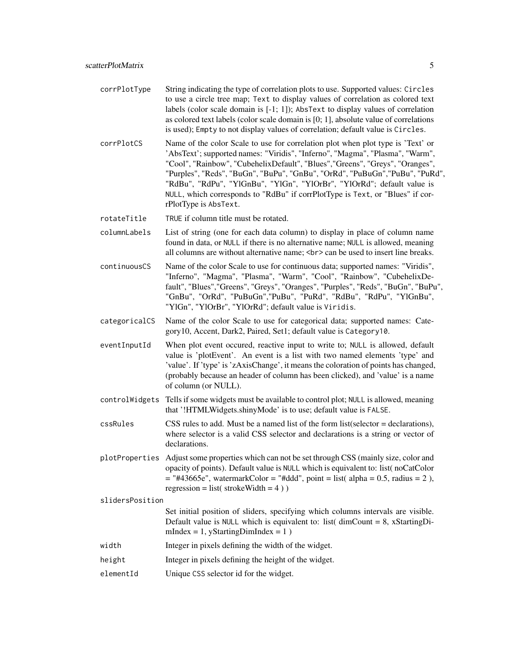- corrPlotType String indicating the type of correlation plots to use. Supported values: Circles to use a circle tree map; Text to display values of correlation as colored text labels (color scale domain is [-1; 1]); AbsText to display values of correlation as colored text labels (color scale domain is [0; 1], absolute value of correlations is used); Empty to not display values of correlation; default value is Circles.
- corrPlotCS Name of the color Scale to use for correlation plot when plot type is 'Text' or 'AbsText'; supported names: "Viridis", "Inferno", "Magma", "Plasma", "Warm", "Cool", "Rainbow", "CubehelixDefault", "Blues","Greens", "Greys", "Oranges", "Purples", "Reds", "BuGn", "BuPu", "GnBu", "OrRd", "PuBuGn","PuBu", "PuRd", "RdBu", "RdPu", "YlGnBu", "YlGn", "YlOrBr", "YlOrRd"; default value is NULL, which corresponds to "RdBu" if corrPlotType is Text, or "Blues" if corrPlotType is AbsText.
- rotateTitle TRUE if column title must be rotated.
- columnLabels List of string (one for each data column) to display in place of column name found in data, or NULL if there is no alternative name; NULL is allowed, meaning all columns are without alternative name; <br> can be used to insert line breaks.
- continuousCS Name of the color Scale to use for continuous data; supported names: "Viridis", "Inferno", "Magma", "Plasma", "Warm", "Cool", "Rainbow", "CubehelixDefault", "Blues","Greens", "Greys", "Oranges", "Purples", "Reds", "BuGn", "BuPu", "GnBu", "OrRd", "PuBuGn","PuBu", "PuRd", "RdBu", "RdPu", "YlGnBu", "YlGn", "YlOrBr", "YlOrRd"; default value is Viridis.
- categoricalCS Name of the color Scale to use for categorical data; supported names: Category10, Accent, Dark2, Paired, Set1; default value is Category10.
- eventInputId When plot event occured, reactive input to write to; NULL is allowed, default value is 'plotEvent'. An event is a list with two named elements 'type' and 'value'. If 'type' is 'zAxisChange', it means the coloration of points has changed, (probably because an header of column has been clicked), and 'value' is a name of column (or NULL).
- controlWidgets Tells if some widgets must be available to control plot; NULL is allowed, meaning that '!HTMLWidgets.shinyMode' is to use; default value is FALSE.
- cssRules CSS rules to add. Must be a named list of the form list(selector = declarations), where selector is a valid CSS selector and declarations is a string or vector of declarations.
- plotProperties Adjust some properties which can not be set through CSS (mainly size, color and opacity of points). Default value is NULL which is equivalent to: list( noCatColor  $=$  "#43665e", watermarkColor = "#ddd", point = list( alpha = 0.5, radius = 2), regression = list( $strokeWidth = 4)$ )

slidersPosition

- Set initial position of sliders, specifying which columns intervals are visible. Default value is NULL which is equivalent to: list( $\dim$ Count = 8, xStartingDimIndex =  $1$ , yStartingDimIndex =  $1$ )
- width Integer in pixels defining the width of the widget.
- height Integer in pixels defining the height of the widget.
- elementId Unique CSS selector id for the widget.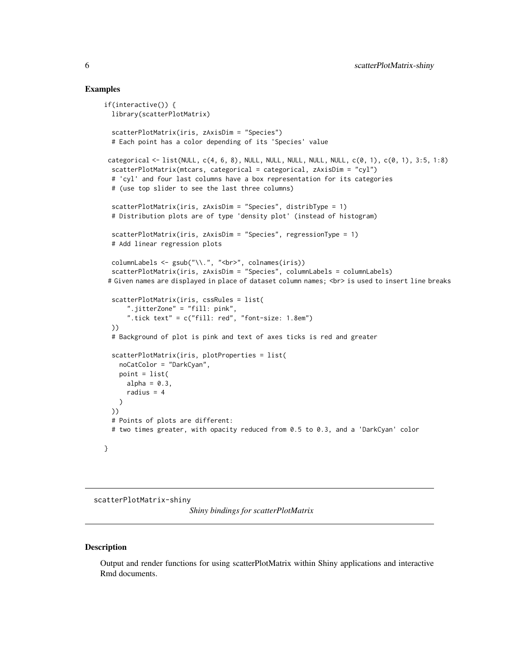#### Examples

```
if(interactive()) {
  library(scatterPlotMatrix)
  scatterPlotMatrix(iris, zAxisDim = "Species")
  # Each point has a color depending of its 'Species' value
 categorical <- list(NULL, c(4, 6, 8), NULL, NULL, NULL, NULL, NULL, c(0, 1), c(0, 1), 3:5, 1:8)
  scatterPlotMatrix(mtcars, categorical = categorical, zAxisDim = "cyl")
  # 'cyl' and four last columns have a box representation for its categories
  # (use top slider to see the last three columns)
  scatterPlotMatrix(iris, zAxisDim = "Species", distribType = 1)
  # Distribution plots are of type 'density plot' (instead of histogram)
  scatterPlotMatrix(iris, zAxisDim = "Species", regressionType = 1)
  # Add linear regression plots
  columnLabels <- gsub("\\.", "<br/>>br>", colnames(iris))
  scatterPlotMatrix(iris, zAxisDim = "Species", columnLabels = columnLabels)
 # Given names are displayed in place of dataset column names; <br> is used to insert line breaks
  scatterPlotMatrix(iris, cssRules = list(
      ".jitterZone" = "fill: pink",
      ".tick text" = c("fill: red", "font-size: 1.8em")
  ))
  # Background of plot is pink and text of axes ticks is red and greater
  scatterPlotMatrix(iris, plotProperties = list(
   noCatColor = "DarkCyan",
   point = list(
      alpha = 0.3,
      radius = 4)
  ))
  # Points of plots are different:
  # two times greater, with opacity reduced from 0.5 to 0.3, and a 'DarkCyan' color
}
```
scatterPlotMatrix-shiny

*Shiny bindings for scatterPlotMatrix*

#### **Description**

Output and render functions for using scatterPlotMatrix within Shiny applications and interactive Rmd documents.

<span id="page-5-0"></span>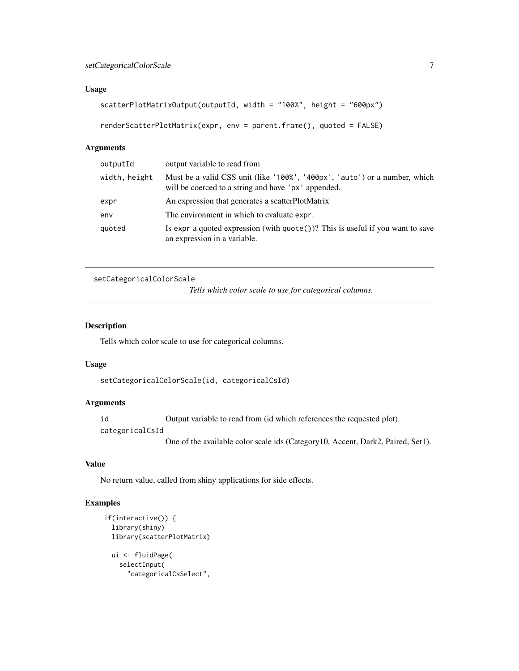#### <span id="page-6-0"></span>Usage

```
scatterPlotMatrixOutput(outputId, width = "100%", height = "600px")
```

```
renderScatterPlotMatrix(expr, env = parent.frame(), quoted = FALSE)
```
#### Arguments

| output variable to read from                                                                                                      |
|-----------------------------------------------------------------------------------------------------------------------------------|
| Must be a valid CSS unit (like '100%', '400px', 'auto') or a number, which<br>will be coerced to a string and have 'px' appended. |
| An expression that generates a scatterPlotMatrix                                                                                  |
| The environment in which to evaluate expr.                                                                                        |
| Is expr a quoted expression (with $\text{quote}()$ )? This is useful if you want to save<br>an expression in a variable.          |
|                                                                                                                                   |

```
setCategoricalColorScale
```
*Tells which color scale to use for categorical columns.*

# Description

Tells which color scale to use for categorical columns.

# Usage

setCategoricalColorScale(id, categoricalCsId)

# Arguments

id Output variable to read from (id which references the requested plot).

categoricalCsId

One of the available color scale ids (Category10, Accent, Dark2, Paired, Set1).

# Value

No return value, called from shiny applications for side effects.

```
if(interactive()) {
  library(shiny)
 library(scatterPlotMatrix)
 ui <- fluidPage(
    selectInput(
      "categoricalCsSelect",
```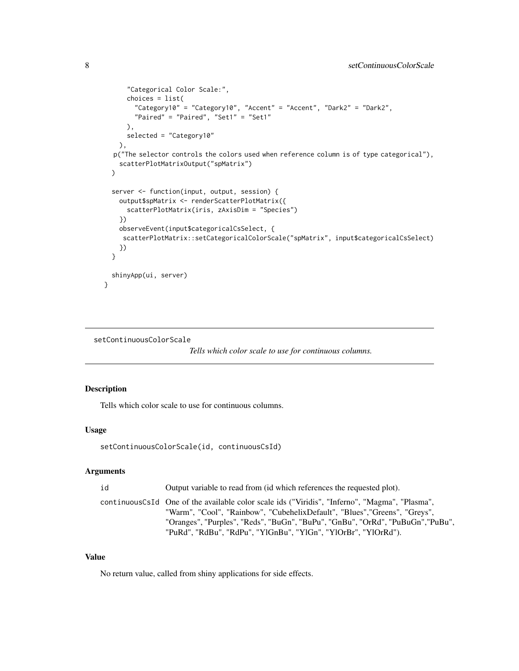```
"Categorical Color Scale:",
      choices = list(
        "Category10" = "Category10", "Accent" = "Accent", "Dark2" = "Dark2",
        "Paired" = "Paired", "Set1" = "Set1"
      ),
      selected = "Category10"
   ),
  p("The selector controls the colors used when reference column is of type categorical"),
    scatterPlotMatrixOutput("spMatrix")
 \lambdaserver <- function(input, output, session) {
    output$spMatrix <- renderScatterPlotMatrix({
      scatterPlotMatrix(iris, zAxisDim = "Species")
    })
    observeEvent(input$categoricalCsSelect, {
     scatterPlotMatrix::setCategoricalColorScale("spMatrix", input$categoricalCsSelect)
    })
 }
 shinyApp(ui, server)
}
```

```
setContinuousColorScale
```
*Tells which color scale to use for continuous columns.*

#### Description

Tells which color scale to use for continuous columns.

#### Usage

```
setContinuousColorScale(id, continuousCsId)
```
#### Arguments

```
id Output variable to read from (id which references the requested plot).
```
continuousCsId One of the available color scale ids ("Viridis", "Inferno", "Magma", "Plasma", "Warm", "Cool", "Rainbow", "CubehelixDefault", "Blues","Greens", "Greys", "Oranges", "Purples", "Reds", "BuGn", "BuPu", "GnBu", "OrRd", "PuBuGn","PuBu", "PuRd", "RdBu", "RdPu", "YlGnBu", "YlGn", "YlOrBr", "YlOrRd").

#### Value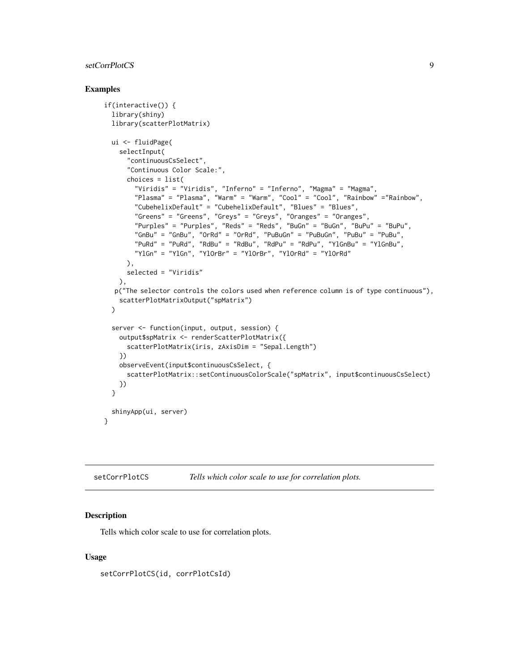# <span id="page-8-0"></span>setCorrPlotCS 9

#### Examples

```
if(interactive()) {
 library(shiny)
  library(scatterPlotMatrix)
  ui <- fluidPage(
    selectInput(
      "continuousCsSelect",
      "Continuous Color Scale:",
      choices = list(
        "Viridis" = "Viridis", "Inferno" = "Inferno", "Magma" = "Magma",
        "Plasma" = "Plasma", "Warm" = "Warm", "Cool" = "Cool", "Rainbow" ="Rainbow",
        "CubehelixDefault" = "CubehelixDefault", "Blues" = "Blues",
        "Greens" = "Greens", "Greys" = "Greys", "Oranges" = "Oranges",
        "Purples" = "Purples", "Reds" = "Reds", "BuGn" = "BuGn", "BuPu" = "BuPu",
        "GnBu" = "GnBu", "OrRd" = "OrRd", "PuBuGn" = "PuBuGn", "PuBu" = "PuBu",
        "PuRd" = "PuRd", "RdBu" = "RdBu", "RdPu" = "RdPu", "YlGnBu" = "YlGnBu",
        "YlGn" = "YlGn", "YlOrBr" = "YlOrBr", "YlOrRd" = "YlOrRd"
      ),
      selected = "Viridis"
    ),
  p("The selector controls the colors used when reference column is of type continuous"),
    scatterPlotMatrixOutput("spMatrix")
  )
  server <- function(input, output, session) {
    output$spMatrix <- renderScatterPlotMatrix({
      scatterPlotMatrix(iris, zAxisDim = "Sepal.Length")
    })
    observeEvent(input$continuousCsSelect, {
      scatterPlotMatrix::setContinuousColorScale("spMatrix", input$continuousCsSelect)
    })
  }
  shinyApp(ui, server)
}
```

| setCorrPlotCS | Tells which color scale to use for correlation plots. |  |  |
|---------------|-------------------------------------------------------|--|--|
|---------------|-------------------------------------------------------|--|--|

#### Description

Tells which color scale to use for correlation plots.

#### Usage

```
setCorrPlotCS(id, corrPlotCsId)
```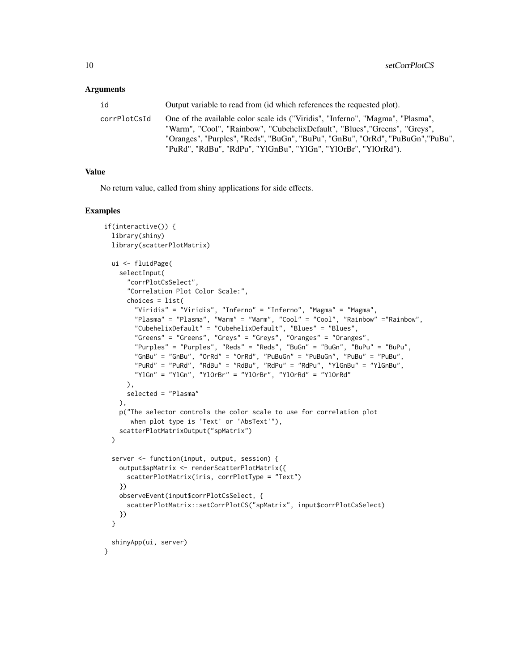#### **Arguments**

| id           | Output variable to read from (id which references the requested plot).                                                                                                                                                                                                                                            |
|--------------|-------------------------------------------------------------------------------------------------------------------------------------------------------------------------------------------------------------------------------------------------------------------------------------------------------------------|
| corrPlotCsId | One of the available color scale ids ("Viridis", "Inferno", "Magma", "Plasma",<br>"Warm", "Cool", "Rainbow", "CubehelixDefault", "Blues", "Greens", "Greys",<br>"Oranges", "Purples", "Reds", "BuGn", "BuPu", "GnBu", "OrRd", "PuBuGn", "PuBu",<br>"PuRd", "RdBu", "RdPu", "YlGnBu", "YlGn", "YlOrBr", "YlOrRd"). |
|              |                                                                                                                                                                                                                                                                                                                   |

#### Value

No return value, called from shiny applications for side effects.

```
if(interactive()) {
  library(shiny)
  library(scatterPlotMatrix)
  ui <- fluidPage(
    selectInput(
      "corrPlotCsSelect",
      "Correlation Plot Color Scale:",
      choices = list(
        "Viridis" = "Viridis", "Inferno" = "Inferno", "Magma" = "Magma",
        "Plasma" = "Plasma", "Warm" = "Warm", "Cool" = "Cool", "Rainbow" ="Rainbow",
       "CubehelixDefault" = "CubehelixDefault", "Blues" = "Blues",
        "Greens" = "Greens", "Greys" = "Greys", "Oranges" = "Oranges",
       "Purples" = "Purples", "Reds" = "Reds", "BuGn" = "BuGn", "BuPu" = "BuPu",
        "GnBu" = "GnBu", "OrRd" = "OrRd", "PuBuGn" = "PuBuGn", "PuBu" = "PuBu",
        "PuRd" = "PuRd", "RdBu" = "RdBu", "RdPu" = "RdPu", "YlGnBu" = "YlGnBu",
        "YlGn" = "YlGn", "YlOrBr" = "YlOrBr", "YlOrRd" = "YlOrRd"
      ),
      selected = "Plasma"
    ),
    p("The selector controls the color scale to use for correlation plot
      when plot type is 'Text' or 'AbsText'"),
    scatterPlotMatrixOutput("spMatrix")
  )
  server <- function(input, output, session) {
    output$spMatrix <- renderScatterPlotMatrix({
      scatterPlotMatrix(iris, corrPlotType = "Text")
    })
    observeEvent(input$corrPlotCsSelect, {
      scatterPlotMatrix::setCorrPlotCS("spMatrix", input$corrPlotCsSelect)
    })
  }
  shinyApp(ui, server)
}
```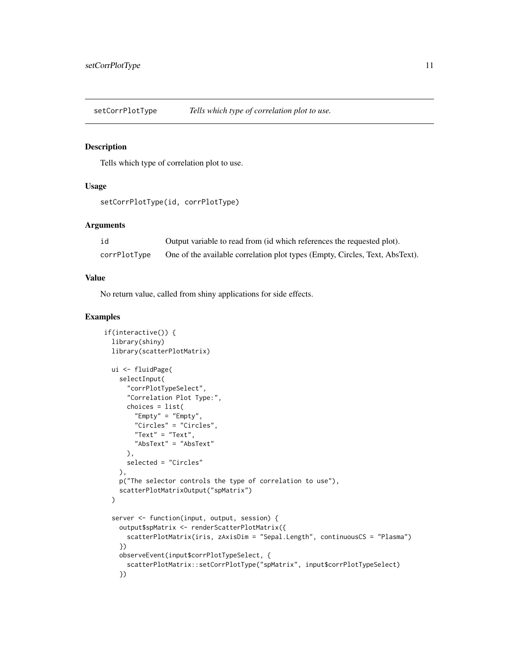<span id="page-10-0"></span>setCorrPlotType *Tells which type of correlation plot to use.*

#### Description

Tells which type of correlation plot to use.

# Usage

```
setCorrPlotType(id, corrPlotType)
```
#### Arguments

| id           | Output variable to read from (id which references the requested plot).       |
|--------------|------------------------------------------------------------------------------|
| corrPlotType | One of the available correlation plot types (Empty, Circles, Text, AbsText). |

# Value

No return value, called from shiny applications for side effects.

```
if(interactive()) {
 library(shiny)
  library(scatterPlotMatrix)
  ui <- fluidPage(
    selectInput(
      "corrPlotTypeSelect",
      "Correlation Plot Type:",
      choices = list(
        "Empty" = "Empty",
        "Circles" = "Circles",
        "Text" = "Text",
        "AbsText" = "AbsText"
      ),
      selected = "Circles"
    ),
   p("The selector controls the type of correlation to use"),
    scatterPlotMatrixOutput("spMatrix")
  )
  server <- function(input, output, session) {
    output$spMatrix <- renderScatterPlotMatrix({
      scatterPlotMatrix(iris, zAxisDim = "Sepal.Length", continuousCS = "Plasma")
    })
    observeEvent(input$corrPlotTypeSelect, {
      scatterPlotMatrix::setCorrPlotType("spMatrix", input$corrPlotTypeSelect)
    })
```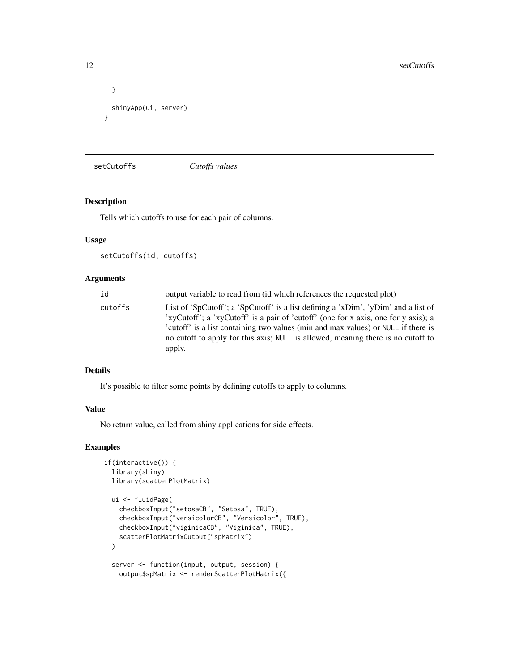```
}
  shinyApp(ui, server)
}
```
setCutoffs *Cutoffs values*

# Description

Tells which cutoffs to use for each pair of columns.

# Usage

```
setCutoffs(id, cutoffs)
```
# Arguments

| id      | output variable to read from (id which references the requested plot)                                                                                                                                                                                                                                                                                       |
|---------|-------------------------------------------------------------------------------------------------------------------------------------------------------------------------------------------------------------------------------------------------------------------------------------------------------------------------------------------------------------|
| cutoffs | List of 'SpCutoff'; a 'SpCutoff' is a list defining a 'xDim', 'yDim' and a list of<br>'xyCutoff'; a 'xyCutoff' is a pair of 'cutoff' (one for x axis, one for y axis); a<br>'cutoff' is a list containing two values (min and max values) or NULL if there is<br>no cutoff to apply for this axis; NULL is allowed, meaning there is no cutoff to<br>apply. |

#### Details

It's possible to filter some points by defining cutoffs to apply to columns.

#### Value

No return value, called from shiny applications for side effects.

```
if(interactive()) {
 library(shiny)
 library(scatterPlotMatrix)
 ui <- fluidPage(
    checkboxInput("setosaCB", "Setosa", TRUE),
    checkboxInput("versicolorCB", "Versicolor", TRUE),
    checkboxInput("viginicaCB", "Viginica", TRUE),
    scatterPlotMatrixOutput("spMatrix")
  )
  server <- function(input, output, session) {
    output$spMatrix <- renderScatterPlotMatrix({
```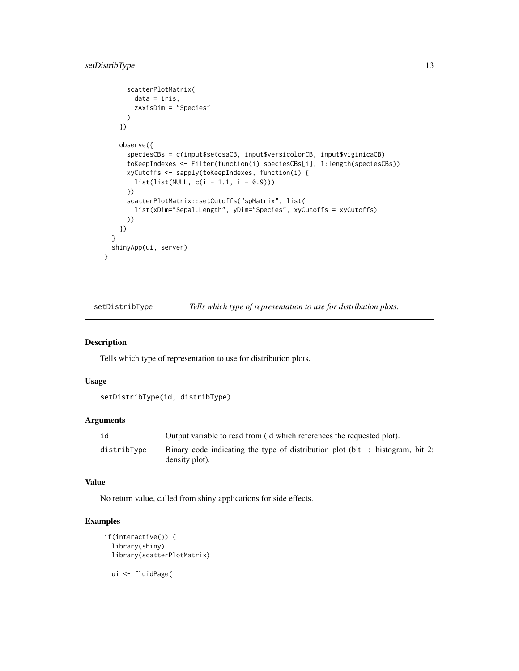```
scatterPlotMatrix(
        data = iris,
        zAxisDim = "Species"
      )
    })
    observe({
      speciesCBs = c(input$setosaCB, input$versicolorCB, input$viginicaCB)
      toKeepIndexes <- Filter(function(i) speciesCBs[i], 1:length(speciesCBs))
      xyCutoffs <- sapply(toKeepIndexes, function(i) {
        list(list(NULL, c(i - 1.1, i - 0.9)))
      })
      scatterPlotMatrix::setCutoffs("spMatrix", list(
        list(xDim="Sepal.Length", yDim="Species", xyCutoffs = xyCutoffs)
      ))
    })
  }
  shinyApp(ui, server)
}
```
setDistribType *Tells which type of representation to use for distribution plots.*

#### Description

Tells which type of representation to use for distribution plots.

#### Usage

```
setDistribType(id, distribType)
```
#### Arguments

| id          | Output variable to read from (id which references the requested plot).                           |
|-------------|--------------------------------------------------------------------------------------------------|
| distribTvpe | Binary code indicating the type of distribution plot (bit 1: histogram, bit 2:<br>density plot). |

#### Value

No return value, called from shiny applications for side effects.

```
if(interactive()) {
 library(shiny)
 library(scatterPlotMatrix)
 ui <- fluidPage(
```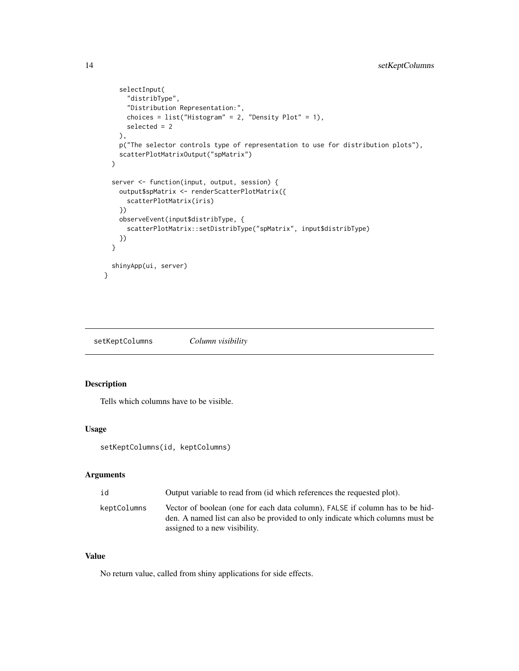```
selectInput(
      "distribType",
      "Distribution Representation:",
      choices = list("History <math>z</math>, "Density Plot" = 1),selected = 2
    ),
    p("The selector controls type of representation to use for distribution plots"),
    scatterPlotMatrixOutput("spMatrix")
 \lambdaserver <- function(input, output, session) {
    output$spMatrix <- renderScatterPlotMatrix({
      scatterPlotMatrix(iris)
    })
    observeEvent(input$distribType, {
      scatterPlotMatrix::setDistribType("spMatrix", input$distribType)
    })
  }
  shinyApp(ui, server)
}
```
setKeptColumns *Column visibility*

# Description

Tells which columns have to be visible.

#### Usage

```
setKeptColumns(id, keptColumns)
```
# Arguments

| id          | Output variable to read from (id which references the requested plot).                                                                                                                         |
|-------------|------------------------------------------------------------------------------------------------------------------------------------------------------------------------------------------------|
| keptColumns | Vector of boolean (one for each data column), FALSE if column has to be hid-<br>den. A named list can also be provided to only indicate which columns must be<br>assigned to a new visibility. |

# Value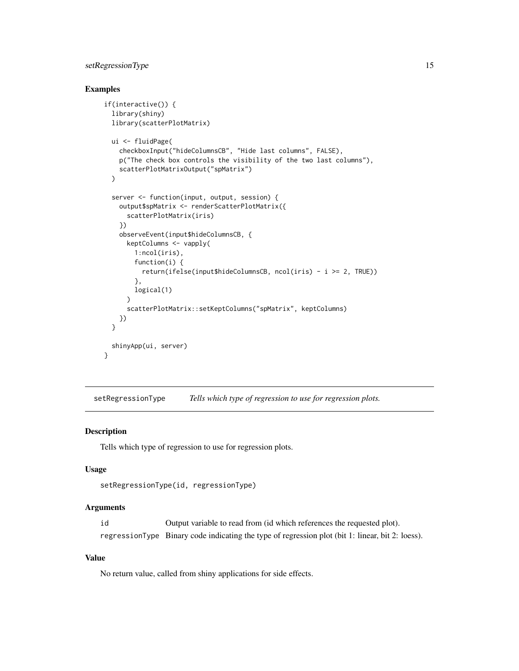# <span id="page-14-0"></span>setRegressionType 15

# Examples

```
if(interactive()) {
 library(shiny)
  library(scatterPlotMatrix)
  ui <- fluidPage(
    checkboxInput("hideColumnsCB", "Hide last columns", FALSE),
    p("The check box controls the visibility of the two last columns"),
    scatterPlotMatrixOutput("spMatrix")
  )
  server <- function(input, output, session) {
    output$spMatrix <- renderScatterPlotMatrix({
      scatterPlotMatrix(iris)
    })
    observeEvent(input$hideColumnsCB, {
      keptColumns <- vapply(
        1:ncol(iris),
        function(i) {
          return(ifelse(input$hideColumnsCB, ncol(iris) - i >= 2, TRUE))
        },
        logical(1)
      )
      scatterPlotMatrix::setKeptColumns("spMatrix", keptColumns)
    })
  }
  shinyApp(ui, server)
}
```
setRegressionType *Tells which type of regression to use for regression plots.*

## Description

Tells which type of regression to use for regression plots.

#### Usage

```
setRegressionType(id, regressionType)
```
# Arguments

id Output variable to read from (id which references the requested plot). regressionType Binary code indicating the type of regression plot (bit 1: linear, bit 2: loess).

# Value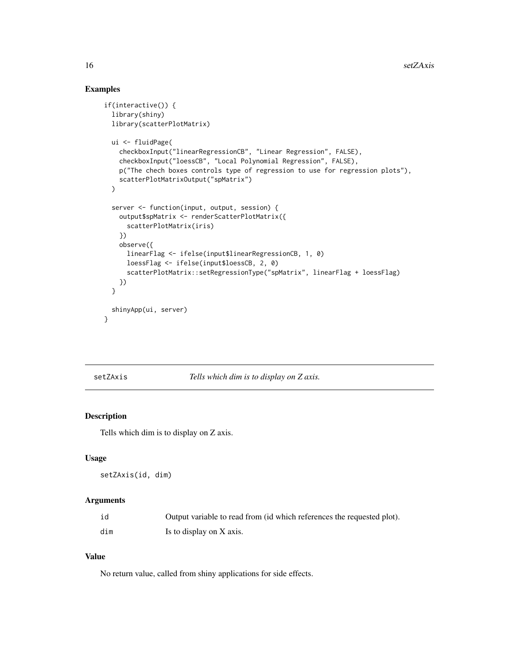# Examples

```
if(interactive()) {
 library(shiny)
  library(scatterPlotMatrix)
  ui <- fluidPage(
    checkboxInput("linearRegressionCB", "Linear Regression", FALSE),
    checkboxInput("loessCB", "Local Polynomial Regression", FALSE),
    p("The chech boxes controls type of regression to use for regression plots"),
    scatterPlotMatrixOutput("spMatrix")
  )
  server <- function(input, output, session) {
    output$spMatrix <- renderScatterPlotMatrix({
      scatterPlotMatrix(iris)
    })
    observe({
      linearFlag <- ifelse(input$linearRegressionCB, 1, 0)
      loessFlag <- ifelse(input$loessCB, 2, 0)
      scatterPlotMatrix::setRegressionType("spMatrix", linearFlag + loessFlag)
    })
  }
  shinyApp(ui, server)
}
```
setZAxis *Tells which dim is to display on Z axis.*

# Description

Tells which dim is to display on Z axis.

#### Usage

setZAxis(id, dim)

#### Arguments

| id  | Output variable to read from (id which references the requested plot). |
|-----|------------------------------------------------------------------------|
| dim | Is to display on X axis.                                               |

#### Value

<span id="page-15-0"></span>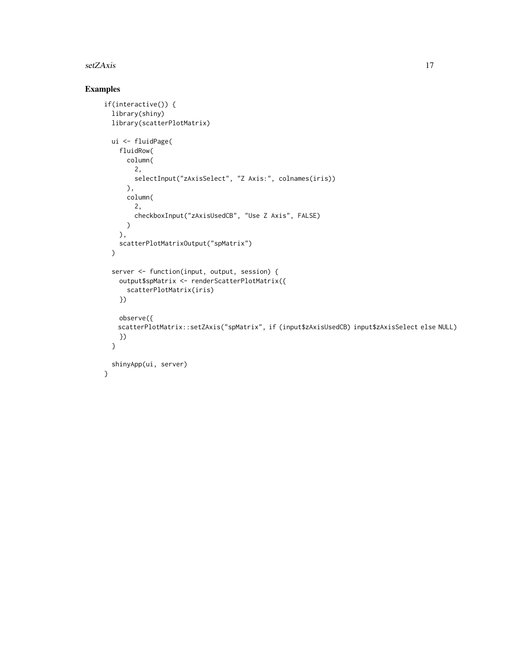#### setZAxis and the set of the set of the set of the set of the set of the set of the set of the set of the set of the set of the set of the set of the set of the set of the set of the set of the set of the set of the set of

```
if(interactive()) {
 library(shiny)
 library(scatterPlotMatrix)
 ui <- fluidPage(
   fluidRow(
     column(
        2,
        selectInput("zAxisSelect", "Z Axis:", colnames(iris))
      ),
     column(
        2,
        checkboxInput("zAxisUsedCB", "Use Z Axis", FALSE)
     \lambda),
    scatterPlotMatrixOutput("spMatrix")
 )
  server <- function(input, output, session) {
   output$spMatrix <- renderScatterPlotMatrix({
      scatterPlotMatrix(iris)
   })
   observe({
   scatterPlotMatrix::setZAxis("spMatrix", if (input$zAxisUsedCB) input$zAxisSelect else NULL)
   })
 }
 shinyApp(ui, server)
}
```